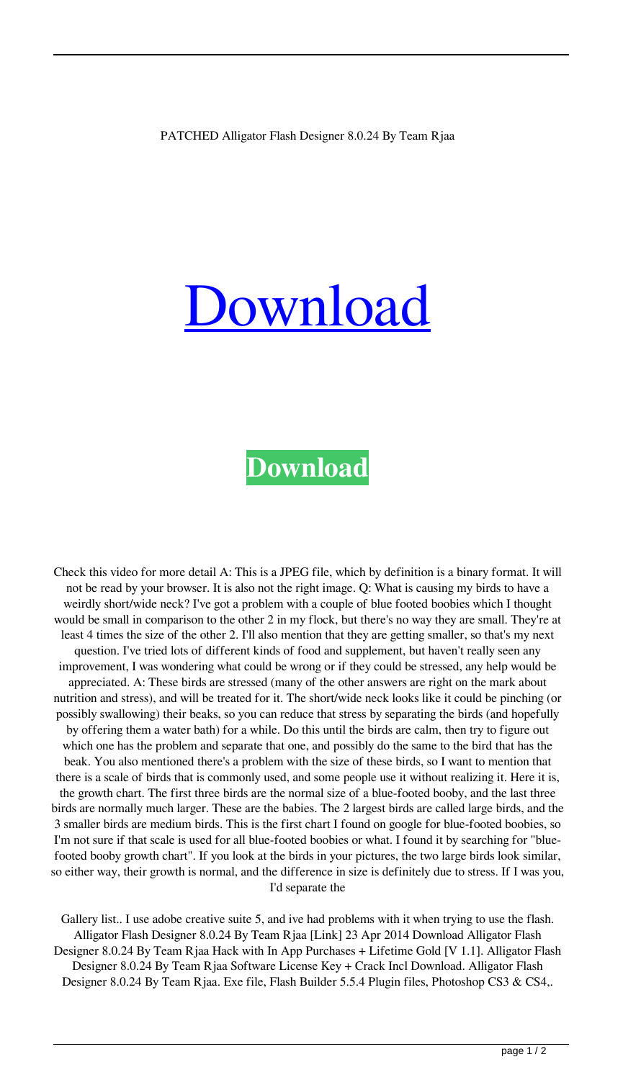## [Download](http://evacdir.com/cyberspace/reverberation.UEFUQ0hFRCBBbGxpZ2F0b3IgRmxhc2ggRGVzaWduZXIgOC4wLjI0IEJ5IFRlYW0gUmphYQUEF?saurabh=/enduros/imposter.rejina.ZG93bmxvYWR8TDU0TVhRM2MzeDhNVFkxTWpjME1EZzJObng4TWpVM05IeDhLRTBwSUhKbFlXUXRZbXh2WnlCYlJtRnpkQ0JIUlU1ZA)

## **[Download](http://evacdir.com/cyberspace/reverberation.UEFUQ0hFRCBBbGxpZ2F0b3IgRmxhc2ggRGVzaWduZXIgOC4wLjI0IEJ5IFRlYW0gUmphYQUEF?saurabh=/enduros/imposter.rejina.ZG93bmxvYWR8TDU0TVhRM2MzeDhNVFkxTWpjME1EZzJObng4TWpVM05IeDhLRTBwSUhKbFlXUXRZbXh2WnlCYlJtRnpkQ0JIUlU1ZA)**

Check this video for more detail A: This is a JPEG file, which by definition is a binary format. It will not be read by your browser. It is also not the right image. Q: What is causing my birds to have a weirdly short/wide neck? I've got a problem with a couple of blue footed boobies which I thought would be small in comparison to the other 2 in my flock, but there's no way they are small. They're at least 4 times the size of the other 2. I'll also mention that they are getting smaller, so that's my next question. I've tried lots of different kinds of food and supplement, but haven't really seen any improvement, I was wondering what could be wrong or if they could be stressed, any help would be appreciated. A: These birds are stressed (many of the other answers are right on the mark about nutrition and stress), and will be treated for it. The short/wide neck looks like it could be pinching (or possibly swallowing) their beaks, so you can reduce that stress by separating the birds (and hopefully by offering them a water bath) for a while. Do this until the birds are calm, then try to figure out which one has the problem and separate that one, and possibly do the same to the bird that has the beak. You also mentioned there's a problem with the size of these birds, so I want to mention that there is a scale of birds that is commonly used, and some people use it without realizing it. Here it is, the growth chart. The first three birds are the normal size of a blue-footed booby, and the last three birds are normally much larger. These are the babies. The 2 largest birds are called large birds, and the 3 smaller birds are medium birds. This is the first chart I found on google for blue-footed boobies, so I'm not sure if that scale is used for all blue-footed boobies or what. I found it by searching for "bluefooted booby growth chart". If you look at the birds in your pictures, the two large birds look similar, so either way, their growth is normal, and the difference in size is definitely due to stress. If I was you, I'd separate the

Gallery list.. I use adobe creative suite 5, and ive had problems with it when trying to use the flash. Alligator Flash Designer 8.0.24 By Team Rjaa [Link] 23 Apr 2014 Download Alligator Flash Designer 8.0.24 By Team Rjaa Hack with In App Purchases + Lifetime Gold [V 1.1]. Alligator Flash Designer 8.0.24 By Team Rjaa Software License Key + Crack Incl Download. Alligator Flash Designer 8.0.24 By Team Rjaa. Exe file, Flash Builder 5.5.4 Plugin files, Photoshop CS3 & CS4,.